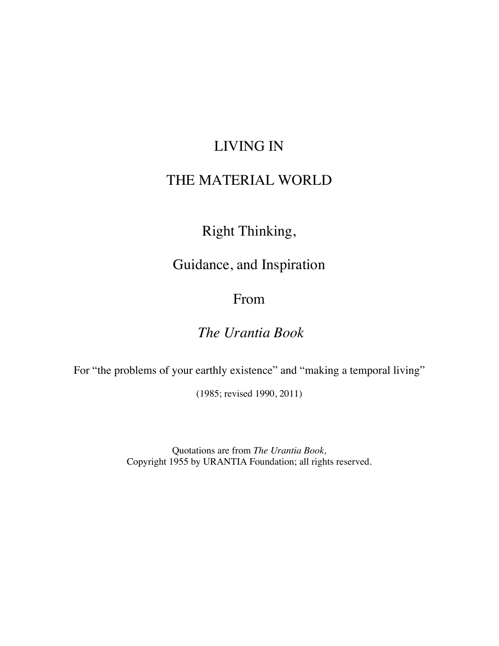# LIVING IN

# THE MATERIAL WORLD

Right Thinking,

Guidance, and Inspiration

# From

## *The Urantia Book*

For "the problems of your earthly existence" and "making a temporal living"

(1985; revised 1990, 2011)

Quotations are from *The Urantia Book,* Copyright 1955 by URANTIA Foundation; all rights reserved.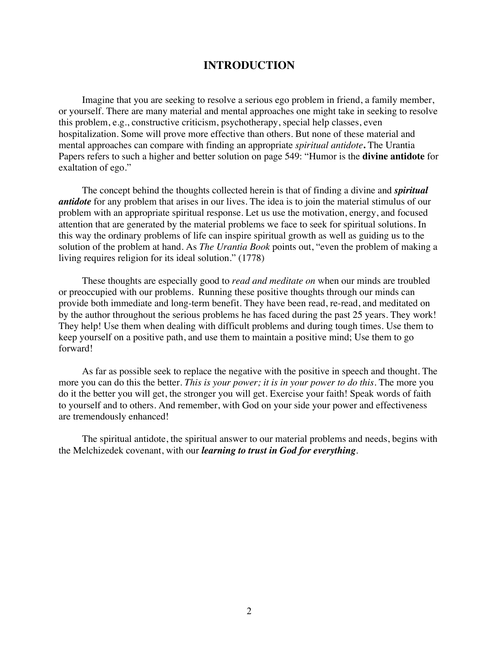#### **INTRODUCTION**

Imagine that you are seeking to resolve a serious ego problem in friend, a family member, or yourself. There are many material and mental approaches one might take in seeking to resolve this problem, e.g., constructive criticism, psychotherapy, special help classes, even hospitalization. Some will prove more effective than others. But none of these material and mental approaches can compare with finding an appropriate *spiritual antidote***.** The Urantia Papers refers to such a higher and better solution on page 549: "Humor is the **divine antidote** for exaltation of ego."

The concept behind the thoughts collected herein is that of finding a divine and *spiritual antidote* for any problem that arises in our lives. The idea is to join the material stimulus of our problem with an appropriate spiritual response. Let us use the motivation, energy, and focused attention that are generated by the material problems we face to seek for spiritual solutions. In this way the ordinary problems of life can inspire spiritual growth as well as guiding us to the solution of the problem at hand. As *The Urantia Book* points out, "even the problem of making a living requires religion for its ideal solution." (1778)

These thoughts are especially good to *read and meditate on* when our minds are troubled or preoccupied with our problems. Running these positive thoughts through our minds can provide both immediate and long-term benefit. They have been read, re-read, and meditated on by the author throughout the serious problems he has faced during the past 25 years. They work! They help! Use them when dealing with difficult problems and during tough times. Use them to keep yourself on a positive path, and use them to maintain a positive mind; Use them to go forward!

As far as possible seek to replace the negative with the positive in speech and thought. The more you can do this the better. *This is your power; it is in your power to do this*. The more you do it the better you will get, the stronger you will get. Exercise your faith! Speak words of faith to yourself and to others. And remember, with God on your side your power and effectiveness are tremendously enhanced!

The spiritual antidote, the spiritual answer to our material problems and needs, begins with the Melchizedek covenant, with our *learning to trust in God for everything.*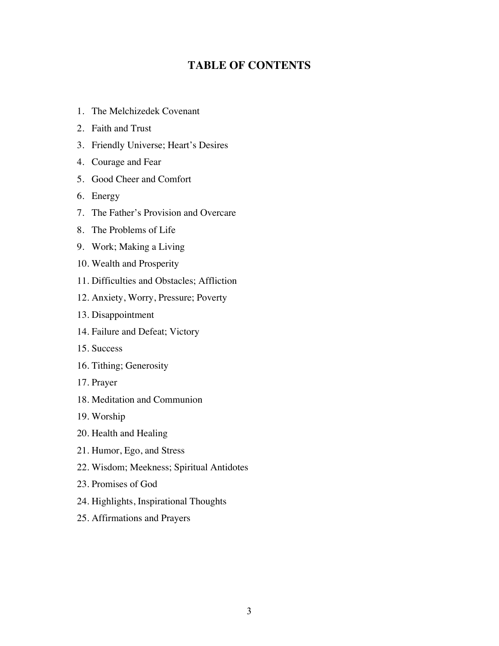#### **TABLE OF CONTENTS**

- 1. The Melchizedek Covenant
- 2. Faith and Trust
- 3. Friendly Universe; Heart's Desires
- 4. Courage and Fear
- 5. Good Cheer and Comfort
- 6. Energy
- 7. The Father's Provision and Overcare
- 8. The Problems of Life
- 9. Work; Making a Living
- 10. Wealth and Prosperity
- 11. Difficulties and Obstacles; Affliction
- 12. Anxiety, Worry, Pressure; Poverty
- 13. Disappointment
- 14. Failure and Defeat; Victory
- 15. Success
- 16. Tithing; Generosity
- 17. Prayer
- 18. Meditation and Communion
- 19. Worship
- 20. Health and Healing
- 21. Humor, Ego, and Stress
- 22. Wisdom; Meekness; Spiritual Antidotes
- 23. Promises of God
- 24. Highlights, Inspirational Thoughts
- 25. Affirmations and Prayers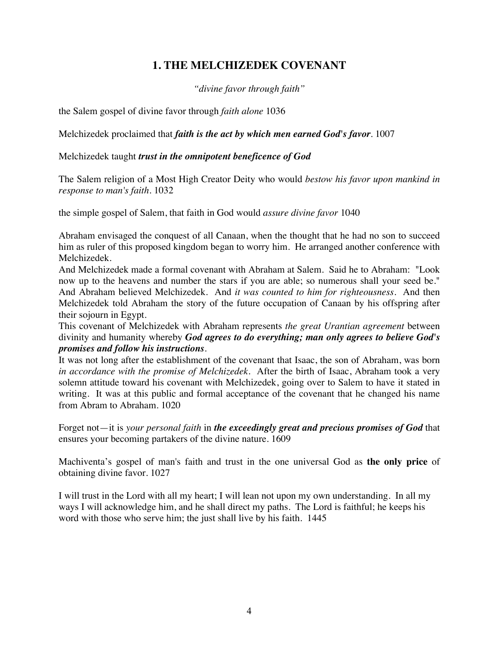## **1. THE MELCHIZEDEK COVENANT**

*"divine favor through faith"*

the Salem gospel of divine favor through *faith alone* 1036

Melchizedek proclaimed that *faith is the act by which men earned God's favor*. 1007

Melchizedek taught *trust in the omnipotent beneficence of God*

The Salem religion of a Most High Creator Deity who would *bestow his favor upon mankind in response to man's faith*. 1032

the simple gospel of Salem, that faith in God would *assure divine favor* 1040

Abraham envisaged the conquest of all Canaan, when the thought that he had no son to succeed him as ruler of this proposed kingdom began to worry him. He arranged another conference with Melchizedek.

And Melchizedek made a formal covenant with Abraham at Salem. Said he to Abraham: "Look now up to the heavens and number the stars if you are able; so numerous shall your seed be." And Abraham believed Melchizedek. And *it was counted to him for righteousness*. And then Melchizedek told Abraham the story of the future occupation of Canaan by his offspring after their sojourn in Egypt.

This covenant of Melchizedek with Abraham represents *the great Urantian agreement* between divinity and humanity whereby *God agrees to do everything; man only agrees to believe God's promises and follow his instructions*.

It was not long after the establishment of the covenant that Isaac, the son of Abraham, was born *in accordance with the promise of Melchizedek*. After the birth of Isaac, Abraham took a very solemn attitude toward his covenant with Melchizedek, going over to Salem to have it stated in writing. It was at this public and formal acceptance of the covenant that he changed his name from Abram to Abraham. 1020

Forget not—it is *your personal faith* in *the exceedingly great and precious promises of God* that ensures your becoming partakers of the divine nature. 1609

Machiventa's gospel of man's faith and trust in the one universal God as **the only price** of obtaining divine favor. 1027

I will trust in the Lord with all my heart; I will lean not upon my own understanding. In all my ways I will acknowledge him, and he shall direct my paths. The Lord is faithful; he keeps his word with those who serve him; the just shall live by his faith. 1445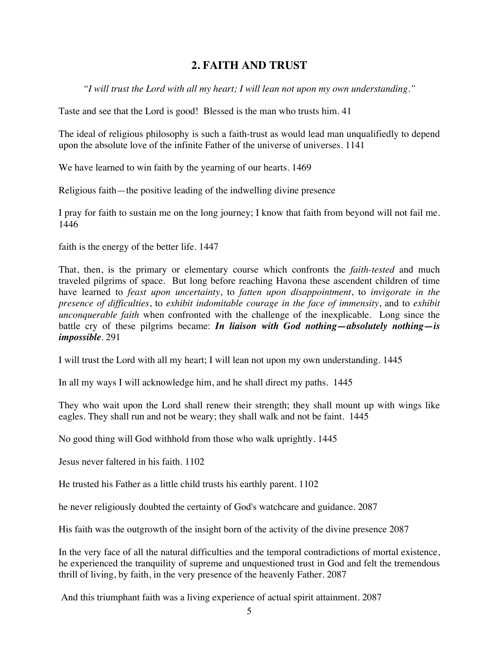## **2. FAITH AND TRUST**

*"I will trust the Lord with all my heart; I will lean not upon my own understanding."*

Taste and see that the Lord is good! Blessed is the man who trusts him. 41

The ideal of religious philosophy is such a faith-trust as would lead man unqualifiedly to depend upon the absolute love of the infinite Father of the universe of universes. 1141

We have learned to win faith by the yearning of our hearts. 1469

Religious faith—the positive leading of the indwelling divine presence

I pray for faith to sustain me on the long journey; I know that faith from beyond will not fail me. 1446

faith is the energy of the better life. 1447

That, then, is the primary or elementary course which confronts the *faith-tested* and much traveled pilgrims of space. But long before reaching Havona these ascendent children of time have learned to *feast upon uncertainty*, to *fatten upon disappointment*, to *invigorate in the presence of difficulties*, to *exhibit indomitable courage in the face of immensity*, and to *exhibit unconquerable faith* when confronted with the challenge of the inexplicable. Long since the battle cry of these pilgrims became: *In liaison with God nothing—absolutely nothing—is impossible*. 291

I will trust the Lord with all my heart; I will lean not upon my own understanding. 1445

In all my ways I will acknowledge him, and he shall direct my paths. 1445

They who wait upon the Lord shall renew their strength; they shall mount up with wings like eagles. They shall run and not be weary; they shall walk and not be faint. 1445

No good thing will God withhold from those who walk uprightly. 1445

Jesus never faltered in his faith. 1102

He trusted his Father as a little child trusts his earthly parent. 1102

he never religiously doubted the certainty of God's watchcare and guidance. 2087

His faith was the outgrowth of the insight born of the activity of the divine presence 2087

In the very face of all the natural difficulties and the temporal contradictions of mortal existence, he experienced the tranquility of supreme and unquestioned trust in God and felt the tremendous thrill of living, by faith, in the very presence of the heavenly Father. 2087

And this triumphant faith was a living experience of actual spirit attainment. 2087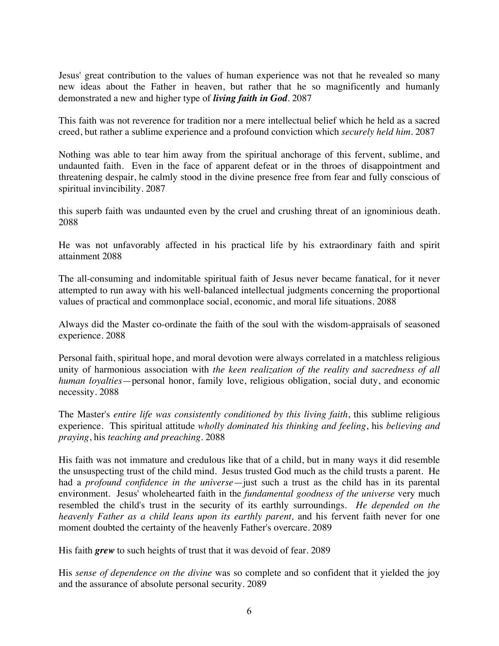Jesus' great contribution to the values of human experience was not that he revealed so many new ideas about the Father in heaven, but rather that he so magnificently and humanly demonstrated a new and higher type of *living faith in God*. 2087

This faith was not reverence for tradition nor a mere intellectual belief which he held as a sacred creed, but rather a sublime experience and a profound conviction which *securely held him*. 2087

Nothing was able to tear him away from the spiritual anchorage of this fervent, sublime, and undaunted faith. Even in the face of apparent defeat or in the throes of disappointment and threatening despair, he calmly stood in the divine presence free from fear and fully conscious of spiritual invincibility. 2087

this superb faith was undaunted even by the cruel and crushing threat of an ignominious death. 2088

He was not unfavorably affected in his practical life by his extraordinary faith and spirit attainment 2088

The all-consuming and indomitable spiritual faith of Jesus never became fanatical, for it never attempted to run away with his well-balanced intellectual judgments concerning the proportional values of practical and commonplace social, economic, and moral life situations. 2088

Always did the Master co-ordinate the faith of the soul with the wisdom-appraisals of seasoned experience. 2088

Personal faith, spiritual hope, and moral devotion were always correlated in a matchless religious unity of harmonious association with *the keen realization of the reality and sacredness of all human loyalties*—personal honor, family love, religious obligation, social duty, and economic necessity. 2088

The Master's *entire life was consistently conditioned by this living faith*, this sublime religious experience. This spiritual attitude *wholly dominated his thinking and feeling*, his *believing and praying*, his *teaching and preaching*. 2088

His faith was not immature and credulous like that of a child, but in many ways it did resemble the unsuspecting trust of the child mind. Jesus trusted God much as the child trusts a parent. He had a *profound confidence in the universe*—just such a trust as the child has in its parental environment. Jesus' wholehearted faith in the *fundamental goodness of the universe* very much resembled the child's trust in the security of its earthly surroundings. *He depended on the heavenly Father as a child leans upon its earthly parent,* and his fervent faith never for one moment doubted the certainty of the heavenly Father's overcare. 2089

His faith *grew* to such heights of trust that it was devoid of fear. 2089

His *sense of dependence on the divine* was so complete and so confident that it yielded the joy and the assurance of absolute personal security. 2089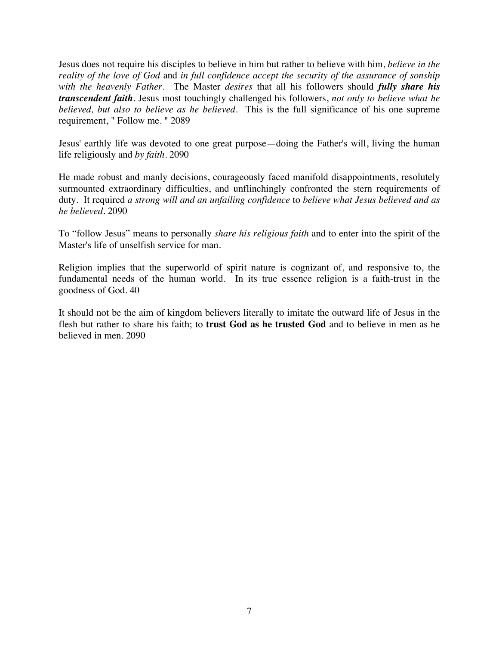Jesus does not require his disciples to believe in him but rather to believe with him, *believe in the reality of the love of God* and *in full confidence accept the security of the assurance of sonship with the heavenly Father*. The Master *desires* that all his followers should *fully share his transcendent faith*. Jesus most touchingly challenged his followers, *not only to believe what he believed, but also to believe as he believed*. This is the full significance of his one supreme requirement, " Follow me. " 2089

Jesus' earthly life was devoted to one great purpose—doing the Father's will, living the human life religiously and *by faith*. 2090

He made robust and manly decisions, courageously faced manifold disappointments, resolutely surmounted extraordinary difficulties, and unflinchingly confronted the stern requirements of duty. It required *a strong will and an unfailing confidence* to *believe what Jesus believed and as he believed*. 2090

To "follow Jesus" means to personally *share his religious faith* and to enter into the spirit of the Master's life of unselfish service for man.

Religion implies that the superworld of spirit nature is cognizant of, and responsive to, the fundamental needs of the human world. In its true essence religion is a faith-trust in the goodness of God. 40

It should not be the aim of kingdom believers literally to imitate the outward life of Jesus in the flesh but rather to share his faith; to **trust God as he trusted God** and to believe in men as he believed in men. 2090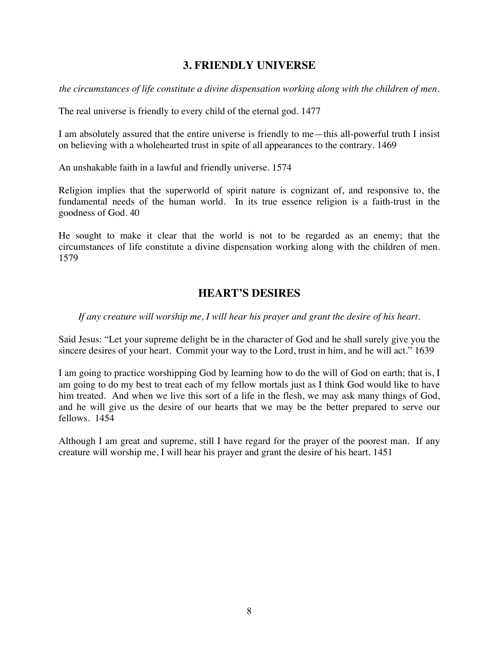## **3. FRIENDLY UNIVERSE**

*the circumstances of life constitute a divine dispensation working along with the children of men*.

The real universe is friendly to every child of the eternal god. 1477

I am absolutely assured that the entire universe is friendly to me—this all-powerful truth I insist on believing with a wholehearted trust in spite of all appearances to the contrary. 1469

An unshakable faith in a lawful and friendly universe. 1574

Religion implies that the superworld of spirit nature is cognizant of, and responsive to, the fundamental needs of the human world. In its true essence religion is a faith-trust in the goodness of God. 40

He sought to make it clear that the world is not to be regarded as an enemy; that the circumstances of life constitute a divine dispensation working along with the children of men. 1579

## **HEART'S DESIRES**

*If any creature will worship me, I will hear his prayer and grant the desire of his heart.* 

Said Jesus: "Let your supreme delight be in the character of God and he shall surely give you the sincere desires of your heart. Commit your way to the Lord, trust in him, and he will act." 1639

I am going to practice worshipping God by learning how to do the will of God on earth; that is, I am going to do my best to treat each of my fellow mortals just as I think God would like to have him treated. And when we live this sort of a life in the flesh, we may ask many things of God, and he will give us the desire of our hearts that we may be the better prepared to serve our fellows. 1454

Although I am great and supreme, still I have regard for the prayer of the poorest man. If any creature will worship me, I will hear his prayer and grant the desire of his heart. 1451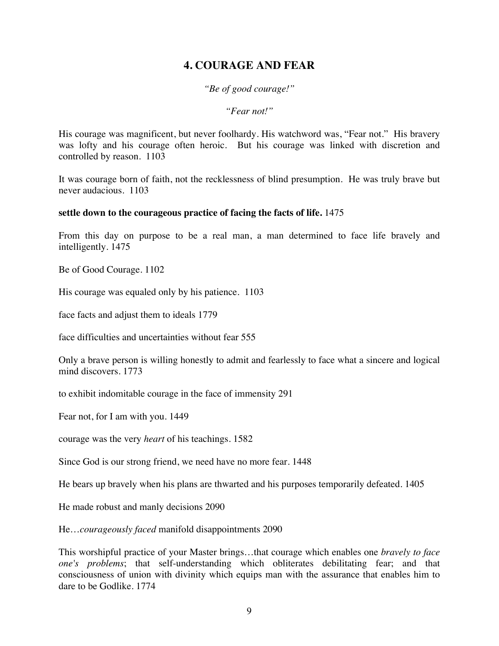## **4. COURAGE AND FEAR**

#### *"Be of good courage!"*

#### *"Fear not!"*

His courage was magnificent, but never foolhardy. His watchword was, "Fear not." His bravery was lofty and his courage often heroic. But his courage was linked with discretion and controlled by reason. 1103

It was courage born of faith, not the recklessness of blind presumption. He was truly brave but never audacious. 1103

#### **settle down to the courageous practice of facing the facts of life.** 1475

From this day on purpose to be a real man, a man determined to face life bravely and intelligently. 1475

Be of Good Courage. 1102

His courage was equaled only by his patience. 1103

face facts and adjust them to ideals 1779

face difficulties and uncertainties without fear 555

Only a brave person is willing honestly to admit and fearlessly to face what a sincere and logical mind discovers. 1773

to exhibit indomitable courage in the face of immensity 291

Fear not, for I am with you. 1449

courage was the very *heart* of his teachings. 1582

Since God is our strong friend, we need have no more fear. 1448

He bears up bravely when his plans are thwarted and his purposes temporarily defeated. 1405

He made robust and manly decisions 2090

He…*courageously faced* manifold disappointments 2090

This worshipful practice of your Master brings…that courage which enables one *bravely to face one's problems*; that self-understanding which obliterates debilitating fear; and that consciousness of union with divinity which equips man with the assurance that enables him to dare to be Godlike. 1774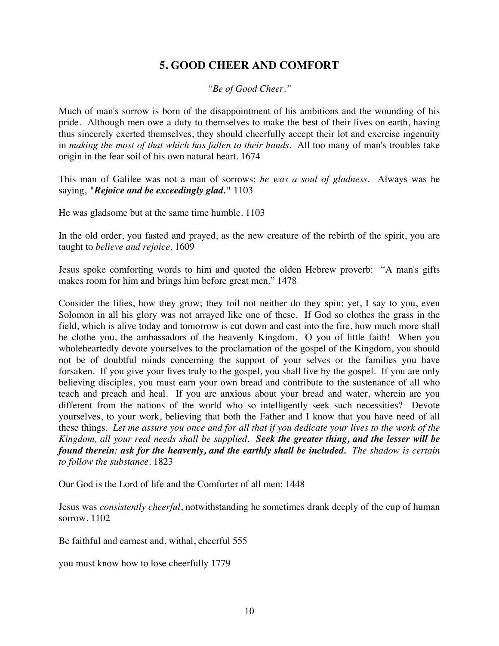## **5. GOOD CHEER AND COMFORT**

*"Be of Good Cheer."* 

Much of man's sorrow is born of the disappointment of his ambitions and the wounding of his pride. Although men owe a duty to themselves to make the best of their lives on earth, having thus sincerely exerted themselves, they should cheerfully accept their lot and exercise ingenuity in *making the most of that which has fallen to their hands*. All too many of man's troubles take origin in the fear soil of his own natural heart. 1674

This man of Galilee was not a man of sorrows; *he was a soul of gladness*. Always was he saying, *"Rejoice and be exceedingly glad."* 1103

He was gladsome but at the same time humble. 1103

In the old order, you fasted and prayed, as the new creature of the rebirth of the spirit, you are taught to *believe and rejoice*. 1609

Jesus spoke comforting words to him and quoted the olden Hebrew proverb: "A man's gifts makes room for him and brings him before great men." 1478

Consider the lilies, how they grow; they toil not neither do they spin; yet, I say to you, even Solomon in all his glory was not arrayed like one of these. If God so clothes the grass in the field, which is alive today and tomorrow is cut down and cast into the fire, how much more shall he clothe you, the ambassadors of the heavenly Kingdom. O you of little faith! When you wholeheartedly devote yourselves to the proclamation of the gospel of the Kingdom, you should not be of doubtful minds concerning the support of your selves or the families you have forsaken. If you give your lives truly to the gospel, you shall live by the gospel. If you are only believing disciples, you must earn your own bread and contribute to the sustenance of all who teach and preach and heal. If you are anxious about your bread and water, wherein are you different from the nations of the world who so intelligently seek such necessities? Devote yourselves, to your work, believing that both the Father and I know that you have need of all these things*. Let me assure you once and for all that if you dedicate your lives to the work of the Kingdom, all your real needs shall be supplied. Seek the greater thing, and the lesser will be found therein; ask for the heavenly, and the earthly shall be included. The shadow is certain to follow the substance.* 1823

Our God is the Lord of life and the Comforter of all men; 1448

Jesus was *consistently cheerful*, notwithstanding he sometimes drank deeply of the cup of human sorrow. 1102

Be faithful and earnest and, withal, cheerful 555

you must know how to lose cheerfully 1779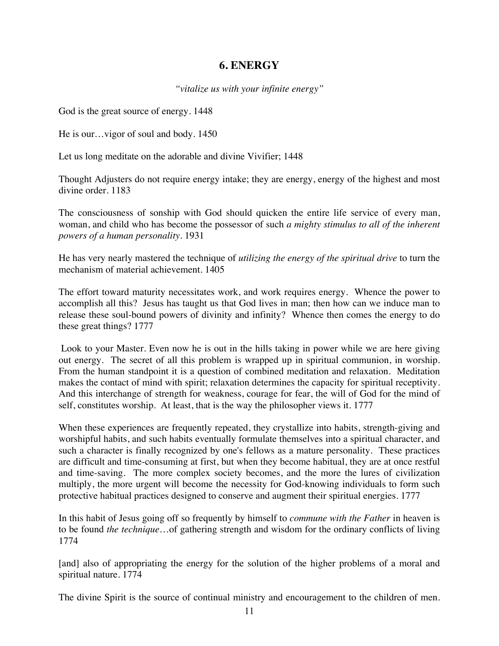#### **6. ENERGY**

*"vitalize us with your infinite energy"*

God is the great source of energy. 1448

He is our…vigor of soul and body. 1450

Let us long meditate on the adorable and divine Vivifier; 1448

Thought Adjusters do not require energy intake; they are energy, energy of the highest and most divine order. 1183

The consciousness of sonship with God should quicken the entire life service of every man, woman, and child who has become the possessor of such *a mighty stimulus to all of the inherent powers of a human personality*. 1931

He has very nearly mastered the technique of *utilizing the energy of the spiritual drive* to turn the mechanism of material achievement. 1405

The effort toward maturity necessitates work, and work requires energy. Whence the power to accomplish all this? Jesus has taught us that God lives in man; then how can we induce man to release these soul-bound powers of divinity and infinity? Whence then comes the energy to do these great things? 1777

Look to your Master. Even now he is out in the hills taking in power while we are here giving out energy. The secret of all this problem is wrapped up in spiritual communion, in worship. From the human standpoint it is a question of combined meditation and relaxation. Meditation makes the contact of mind with spirit; relaxation determines the capacity for spiritual receptivity. And this interchange of strength for weakness, courage for fear, the will of God for the mind of self, constitutes worship. At least, that is the way the philosopher views it. 1777

When these experiences are frequently repeated, they crystallize into habits, strength-giving and worshipful habits, and such habits eventually formulate themselves into a spiritual character, and such a character is finally recognized by one's fellows as a mature personality. These practices are difficult and time-consuming at first, but when they become habitual, they are at once restful and time-saving. The more complex society becomes, and the more the lures of civilization multiply, the more urgent will become the necessity for God-knowing individuals to form such protective habitual practices designed to conserve and augment their spiritual energies. 1777

In this habit of Jesus going off so frequently by himself to *commune with the Father* in heaven is to be found *the technique*…of gathering strength and wisdom for the ordinary conflicts of living 1774

[and] also of appropriating the energy for the solution of the higher problems of a moral and spiritual nature. 1774

The divine Spirit is the source of continual ministry and encouragement to the children of men.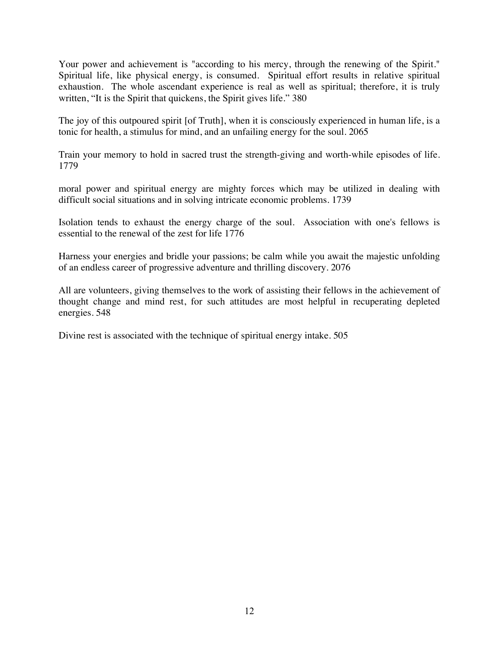Your power and achievement is "according to his mercy, through the renewing of the Spirit." Spiritual life, like physical energy, is consumed. Spiritual effort results in relative spiritual exhaustion. The whole ascendant experience is real as well as spiritual; therefore, it is truly written, "It is the Spirit that quickens, the Spirit gives life." 380

The joy of this outpoured spirit [of Truth], when it is consciously experienced in human life, is a tonic for health, a stimulus for mind, and an unfailing energy for the soul. 2065

Train your memory to hold in sacred trust the strength-giving and worth-while episodes of life. 1779

moral power and spiritual energy are mighty forces which may be utilized in dealing with difficult social situations and in solving intricate economic problems. 1739

Isolation tends to exhaust the energy charge of the soul. Association with one's fellows is essential to the renewal of the zest for life 1776

Harness your energies and bridle your passions; be calm while you await the majestic unfolding of an endless career of progressive adventure and thrilling discovery. 2076

All are volunteers, giving themselves to the work of assisting their fellows in the achievement of thought change and mind rest, for such attitudes are most helpful in recuperating depleted energies. 548

Divine rest is associated with the technique of spiritual energy intake. 505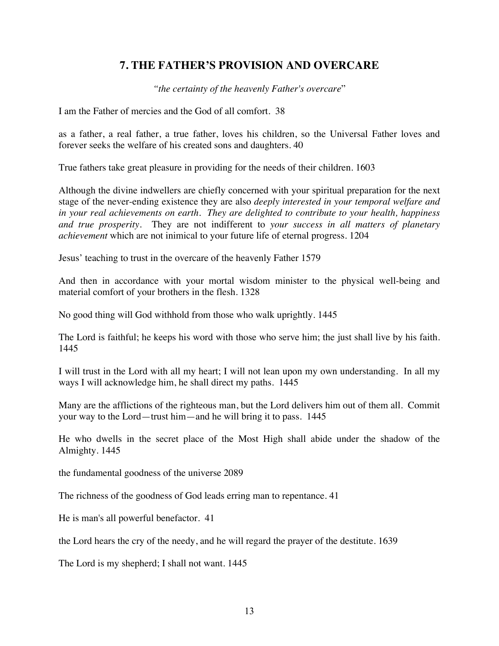## **7. THE FATHER'S PROVISION AND OVERCARE**

*"the certainty of the heavenly Father's overcare*"

I am the Father of mercies and the God of all comfort. 38

as a father, a real father, a true father, loves his children, so the Universal Father loves and forever seeks the welfare of his created sons and daughters. 40

True fathers take great pleasure in providing for the needs of their children. 1603

Although the divine indwellers are chiefly concerned with your spiritual preparation for the next stage of the never-ending existence they are also *deeply interested in your temporal welfare and in your real achievements on earth*. *They are delighted to contribute to your health, happiness and true prosperity.* They are not indifferent to *your success in all matters of planetary achievement* which are not inimical to your future life of eternal progress. 1204

Jesus' teaching to trust in the overcare of the heavenly Father 1579

And then in accordance with your mortal wisdom minister to the physical well-being and material comfort of your brothers in the flesh. 1328

No good thing will God withhold from those who walk uprightly. 1445

The Lord is faithful; he keeps his word with those who serve him; the just shall live by his faith. 1445

I will trust in the Lord with all my heart; I will not lean upon my own understanding. In all my ways I will acknowledge him, he shall direct my paths. 1445

Many are the afflictions of the righteous man, but the Lord delivers him out of them all. Commit your way to the Lord—trust him—and he will bring it to pass. 1445

He who dwells in the secret place of the Most High shall abide under the shadow of the Almighty. 1445

the fundamental goodness of the universe 2089

The richness of the goodness of God leads erring man to repentance. 41

He is man's all powerful benefactor. 41

the Lord hears the cry of the needy, and he will regard the prayer of the destitute. 1639

The Lord is my shepherd; I shall not want. 1445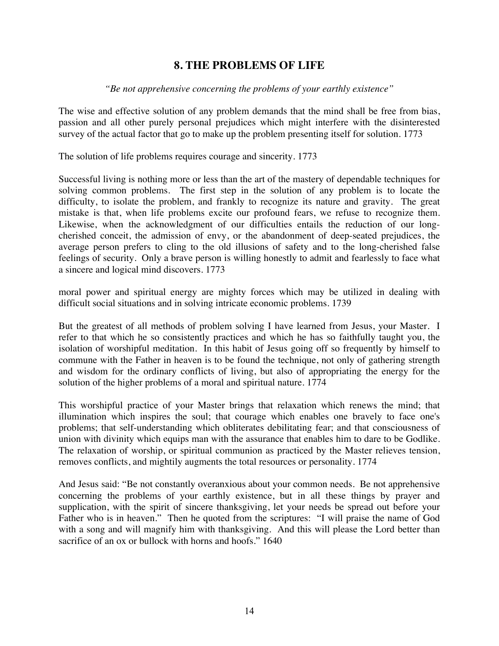#### **8. THE PROBLEMS OF LIFE**

#### *"Be not apprehensive concerning the problems of your earthly existence"*

The wise and effective solution of any problem demands that the mind shall be free from bias, passion and all other purely personal prejudices which might interfere with the disinterested survey of the actual factor that go to make up the problem presenting itself for solution. 1773

The solution of life problems requires courage and sincerity. 1773

Successful living is nothing more or less than the art of the mastery of dependable techniques for solving common problems. The first step in the solution of any problem is to locate the difficulty, to isolate the problem, and frankly to recognize its nature and gravity. The great mistake is that, when life problems excite our profound fears, we refuse to recognize them. Likewise, when the acknowledgment of our difficulties entails the reduction of our longcherished conceit, the admission of envy, or the abandonment of deep-seated prejudices, the average person prefers to cling to the old illusions of safety and to the long-cherished false feelings of security. Only a brave person is willing honestly to admit and fearlessly to face what a sincere and logical mind discovers. 1773

moral power and spiritual energy are mighty forces which may be utilized in dealing with difficult social situations and in solving intricate economic problems. 1739

But the greatest of all methods of problem solving I have learned from Jesus, your Master. I refer to that which he so consistently practices and which he has so faithfully taught you, the isolation of worshipful meditation. In this habit of Jesus going off so frequently by himself to commune with the Father in heaven is to be found the technique, not only of gathering strength and wisdom for the ordinary conflicts of living, but also of appropriating the energy for the solution of the higher problems of a moral and spiritual nature. 1774

This worshipful practice of your Master brings that relaxation which renews the mind; that illumination which inspires the soul; that courage which enables one bravely to face one's problems; that self-understanding which obliterates debilitating fear; and that consciousness of union with divinity which equips man with the assurance that enables him to dare to be Godlike. The relaxation of worship, or spiritual communion as practiced by the Master relieves tension, removes conflicts, and mightily augments the total resources or personality. 1774

And Jesus said: "Be not constantly overanxious about your common needs. Be not apprehensive concerning the problems of your earthly existence, but in all these things by prayer and supplication, with the spirit of sincere thanksgiving, let your needs be spread out before your Father who is in heaven." Then he quoted from the scriptures: "I will praise the name of God with a song and will magnify him with thanksgiving. And this will please the Lord better than sacrifice of an ox or bullock with horns and hoofs." 1640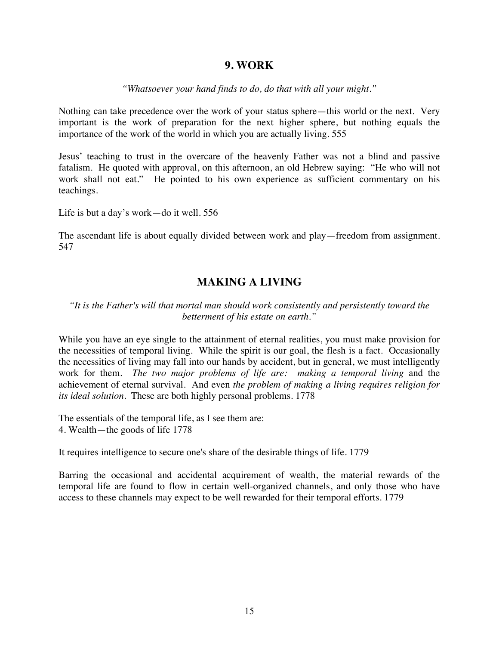#### **9. WORK**

*"Whatsoever your hand finds to do, do that with all your might."*

Nothing can take precedence over the work of your status sphere—this world or the next. Very important is the work of preparation for the next higher sphere, but nothing equals the importance of the work of the world in which you are actually living. 555

Jesus' teaching to trust in the overcare of the heavenly Father was not a blind and passive fatalism. He quoted with approval, on this afternoon, an old Hebrew saying: "He who will not work shall not eat." He pointed to his own experience as sufficient commentary on his teachings.

Life is but a day's work—do it well. 556

The ascendant life is about equally divided between work and play—freedom from assignment. 547

## **MAKING A LIVING**

#### *"It is the Father's will that mortal man should work consistently and persistently toward the betterment of his estate on earth."*

While you have an eye single to the attainment of eternal realities, you must make provision for the necessities of temporal living. While the spirit is our goal, the flesh is a fact. Occasionally the necessities of living may fall into our hands by accident, but in general, we must intelligently work for them. *The two major problems of life are: making a temporal living* and the achievement of eternal survival. And even *the problem of making a living requires religion for its ideal solution*. These are both highly personal problems. 1778

The essentials of the temporal life, as I see them are: 4. Wealth—the goods of life 1778

It requires intelligence to secure one's share of the desirable things of life. 1779

Barring the occasional and accidental acquirement of wealth, the material rewards of the temporal life are found to flow in certain well-organized channels, and only those who have access to these channels may expect to be well rewarded for their temporal efforts. 1779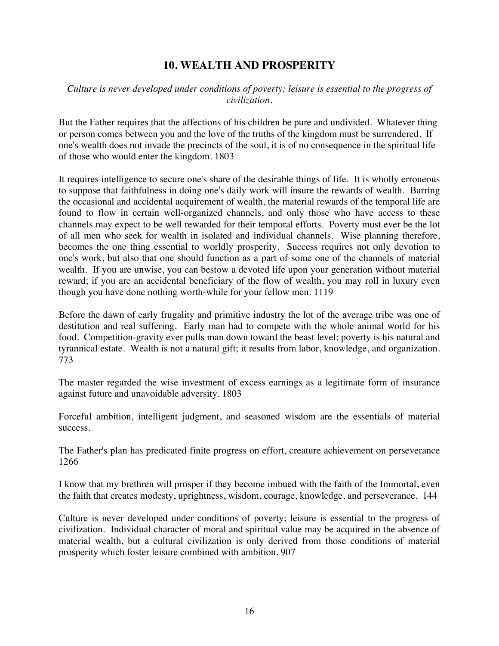## **10. WEALTH AND PROSPERITY**

#### *Culture is never developed under conditions of poverty; leisure is essential to the progress of civilization.*

But the Father requires that the affections of his children be pure and undivided. Whatever thing or person comes between you and the love of the truths of the kingdom must be surrendered. If one's wealth does not invade the precincts of the soul, it is of no consequence in the spiritual life of those who would enter the kingdom. 1803

It requires intelligence to secure one's share of the desirable things of life. It is wholly erroneous to suppose that faithfulness in doing one's daily work will insure the rewards of wealth. Barring the occasional and accidental acquirement of wealth, the material rewards of the temporal life are found to flow in certain well-organized channels, and only those who have access to these channels may expect to be well rewarded for their temporal efforts. Poverty must ever be the lot of all men who seek for wealth in isolated and individual channels. Wise planning therefore, becomes the one thing essential to worldly prosperity. Success requires not only devotion to one's work, but also that one should function as a part of some one of the channels of material wealth. If you are unwise, you can bestow a devoted life upon your generation without material reward; if you are an accidental beneficiary of the flow of wealth, you may roll in luxury even though you have done nothing worth-while for your fellow men. 1119

Before the dawn of early frugality and primitive industry the lot of the average tribe was one of destitution and real suffering. Early man had to compete with the whole animal world for his food. Competition-gravity ever pulls man down toward the beast level; poverty is his natural and tyrannical estate. Wealth is not a natural gift; it results from labor, knowledge, and organization. 773

The master regarded the wise investment of excess earnings as a legitimate form of insurance against future and unavoidable adversity. 1803

Forceful ambition, intelligent judgment, and seasoned wisdom are the essentials of material success.

The Father's plan has predicated finite progress on effort, creature achievement on perseverance 1266

I know that my brethren will prosper if they become imbued with the faith of the Immortal, even the faith that creates modesty, uprightness, wisdom, courage, knowledge, and perseverance. 144

Culture is never developed under conditions of poverty; leisure is essential to the progress of civilization. Individual character of moral and spiritual value may be acquired in the absence of material wealth, but a cultural civilization is only derived from those conditions of material prosperity which foster leisure combined with ambition. 907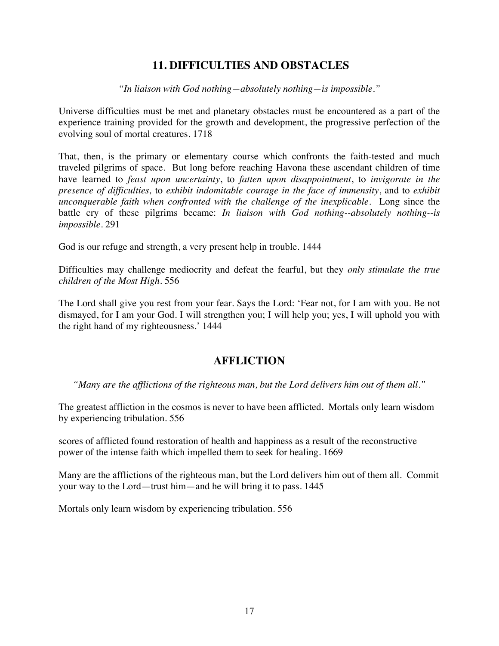## **11. DIFFICULTIES AND OBSTACLES**

*"In liaison with God nothing—absolutely nothing—is impossible."*

Universe difficulties must be met and planetary obstacles must be encountered as a part of the experience training provided for the growth and development, the progressive perfection of the evolving soul of mortal creatures. 1718

That, then, is the primary or elementary course which confronts the faith-tested and much traveled pilgrims of space. But long before reaching Havona these ascendant children of time have learned to *feast upon uncertainty*, to *fatten upon disappointment*, to *invigorate in the presence of difficulties,* to *exhibit indomitable courage in the face of immensity*, and to *exhibit unconquerable faith when confronted with the challenge of the inexplicable*. Long since the battle cry of these pilgrims became: *In liaison with God nothing--absolutely nothing--is impossible*. 291

God is our refuge and strength, a very present help in trouble. 1444

Difficulties may challenge mediocrity and defeat the fearful, but they *only stimulate the true children of the Most High*. 556

The Lord shall give you rest from your fear. Says the Lord: 'Fear not, for I am with you. Be not dismayed, for I am your God. I will strengthen you; I will help you; yes, I will uphold you with the right hand of my righteousness.' 1444

#### **AFFLICTION**

*"Many are the afflictions of the righteous man, but the Lord delivers him out of them all."*

The greatest affliction in the cosmos is never to have been afflicted. Mortals only learn wisdom by experiencing tribulation. 556

scores of afflicted found restoration of health and happiness as a result of the reconstructive power of the intense faith which impelled them to seek for healing. 1669

Many are the afflictions of the righteous man, but the Lord delivers him out of them all. Commit your way to the Lord—trust him—and he will bring it to pass. 1445

Mortals only learn wisdom by experiencing tribulation. 556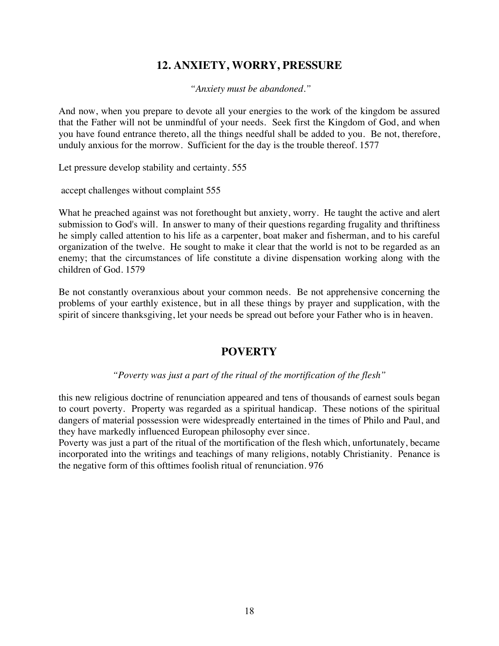## **12. ANXIETY, WORRY, PRESSURE**

*"Anxiety must be abandoned."*

And now, when you prepare to devote all your energies to the work of the kingdom be assured that the Father will not be unmindful of your needs. Seek first the Kingdom of God, and when you have found entrance thereto, all the things needful shall be added to you. Be not, therefore, unduly anxious for the morrow. Sufficient for the day is the trouble thereof. 1577

Let pressure develop stability and certainty. 555

accept challenges without complaint 555

What he preached against was not forethought but anxiety, worry. He taught the active and alert submission to God's will. In answer to many of their questions regarding frugality and thriftiness he simply called attention to his life as a carpenter, boat maker and fisherman, and to his careful organization of the twelve. He sought to make it clear that the world is not to be regarded as an enemy; that the circumstances of life constitute a divine dispensation working along with the children of God. 1579

Be not constantly overanxious about your common needs. Be not apprehensive concerning the problems of your earthly existence, but in all these things by prayer and supplication, with the spirit of sincere thanksgiving, let your needs be spread out before your Father who is in heaven.

## **POVERTY**

*"Poverty was just a part of the ritual of the mortification of the flesh"*

this new religious doctrine of renunciation appeared and tens of thousands of earnest souls began to court poverty. Property was regarded as a spiritual handicap. These notions of the spiritual dangers of material possession were widespreadly entertained in the times of Philo and Paul, and they have markedly influenced European philosophy ever since.

Poverty was just a part of the ritual of the mortification of the flesh which, unfortunately, became incorporated into the writings and teachings of many religions, notably Christianity. Penance is the negative form of this ofttimes foolish ritual of renunciation. 976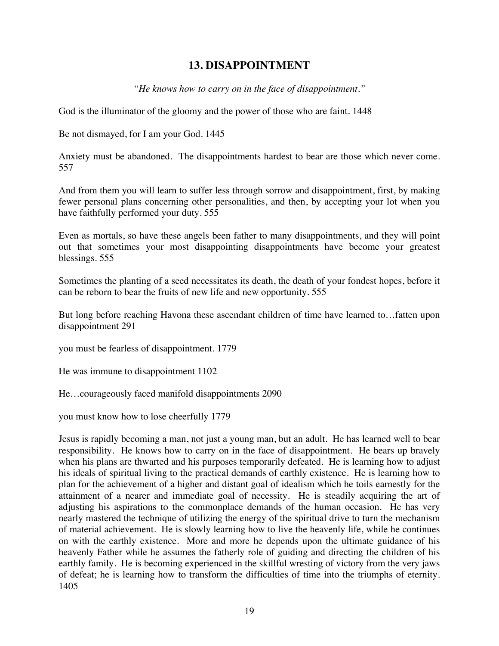#### **13. DISAPPOINTMENT**

*"He knows how to carry on in the face of disappointment."*

God is the illuminator of the gloomy and the power of those who are faint. 1448

Be not dismayed, for I am your God. 1445

Anxiety must be abandoned. The disappointments hardest to bear are those which never come. 557

And from them you will learn to suffer less through sorrow and disappointment, first, by making fewer personal plans concerning other personalities, and then, by accepting your lot when you have faithfully performed your duty. 555

Even as mortals, so have these angels been father to many disappointments, and they will point out that sometimes your most disappointing disappointments have become your greatest blessings. 555

Sometimes the planting of a seed necessitates its death, the death of your fondest hopes, before it can be reborn to bear the fruits of new life and new opportunity. 555

But long before reaching Havona these ascendant children of time have learned to…fatten upon disappointment 291

you must be fearless of disappointment. 1779

He was immune to disappointment 1102

He…courageously faced manifold disappointments 2090

you must know how to lose cheerfully 1779

Jesus is rapidly becoming a man, not just a young man, but an adult. He has learned well to bear responsibility. He knows how to carry on in the face of disappointment. He bears up bravely when his plans are thwarted and his purposes temporarily defeated. He is learning how to adjust his ideals of spiritual living to the practical demands of earthly existence. He is learning how to plan for the achievement of a higher and distant goal of idealism which he toils earnestly for the attainment of a nearer and immediate goal of necessity. He is steadily acquiring the art of adjusting his aspirations to the commonplace demands of the human occasion. He has very nearly mastered the technique of utilizing the energy of the spiritual drive to turn the mechanism of material achievement. He is slowly learning how to live the heavenly life, while he continues on with the earthly existence. More and more he depends upon the ultimate guidance of his heavenly Father while he assumes the fatherly role of guiding and directing the children of his earthly family. He is becoming experienced in the skillful wresting of victory from the very jaws of defeat; he is learning how to transform the difficulties of time into the triumphs of eternity. 1405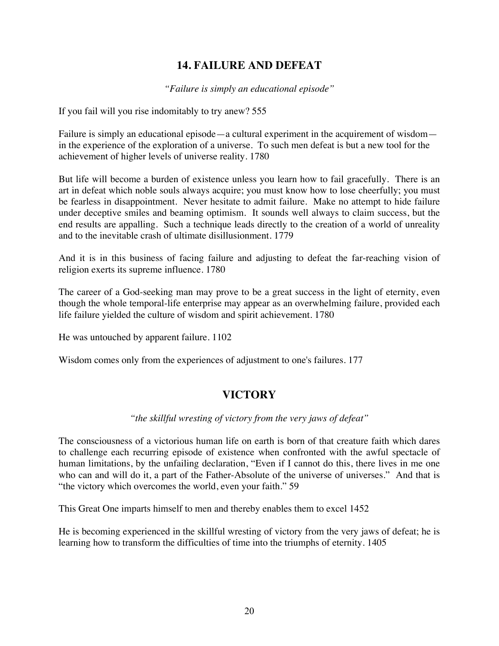## **14. FAILURE AND DEFEAT**

*"Failure is simply an educational episode"*

If you fail will you rise indomitably to try anew? 555

Failure is simply an educational episode—a cultural experiment in the acquirement of wisdom in the experience of the exploration of a universe. To such men defeat is but a new tool for the achievement of higher levels of universe reality. 1780

But life will become a burden of existence unless you learn how to fail gracefully. There is an art in defeat which noble souls always acquire; you must know how to lose cheerfully; you must be fearless in disappointment. Never hesitate to admit failure. Make no attempt to hide failure under deceptive smiles and beaming optimism. It sounds well always to claim success, but the end results are appalling. Such a technique leads directly to the creation of a world of unreality and to the inevitable crash of ultimate disillusionment. 1779

And it is in this business of facing failure and adjusting to defeat the far-reaching vision of religion exerts its supreme influence. 1780

The career of a God-seeking man may prove to be a great success in the light of eternity, even though the whole temporal-life enterprise may appear as an overwhelming failure, provided each life failure yielded the culture of wisdom and spirit achievement. 1780

He was untouched by apparent failure. 1102

Wisdom comes only from the experiences of adjustment to one's failures. 177

## **VICTORY**

*"the skillful wresting of victory from the very jaws of defeat"*

The consciousness of a victorious human life on earth is born of that creature faith which dares to challenge each recurring episode of existence when confronted with the awful spectacle of human limitations, by the unfailing declaration, "Even if I cannot do this, there lives in me one who can and will do it, a part of the Father-Absolute of the universe of universes." And that is "the victory which overcomes the world, even your faith." 59

This Great One imparts himself to men and thereby enables them to excel 1452

He is becoming experienced in the skillful wresting of victory from the very jaws of defeat; he is learning how to transform the difficulties of time into the triumphs of eternity. 1405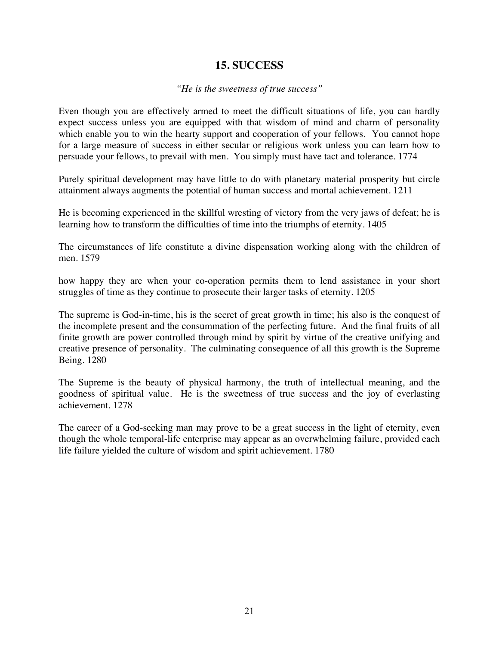#### **15. SUCCESS**

#### *"He is the sweetness of true success"*

Even though you are effectively armed to meet the difficult situations of life, you can hardly expect success unless you are equipped with that wisdom of mind and charm of personality which enable you to win the hearty support and cooperation of your fellows. You cannot hope for a large measure of success in either secular or religious work unless you can learn how to persuade your fellows, to prevail with men. You simply must have tact and tolerance. 1774

Purely spiritual development may have little to do with planetary material prosperity but circle attainment always augments the potential of human success and mortal achievement. 1211

He is becoming experienced in the skillful wresting of victory from the very jaws of defeat; he is learning how to transform the difficulties of time into the triumphs of eternity. 1405

The circumstances of life constitute a divine dispensation working along with the children of men. 1579

how happy they are when your co-operation permits them to lend assistance in your short struggles of time as they continue to prosecute their larger tasks of eternity. 1205

The supreme is God-in-time, his is the secret of great growth in time; his also is the conquest of the incomplete present and the consummation of the perfecting future. And the final fruits of all finite growth are power controlled through mind by spirit by virtue of the creative unifying and creative presence of personality. The culminating consequence of all this growth is the Supreme Being. 1280

The Supreme is the beauty of physical harmony, the truth of intellectual meaning, and the goodness of spiritual value. He is the sweetness of true success and the joy of everlasting achievement. 1278

The career of a God-seeking man may prove to be a great success in the light of eternity, even though the whole temporal-life enterprise may appear as an overwhelming failure, provided each life failure yielded the culture of wisdom and spirit achievement. 1780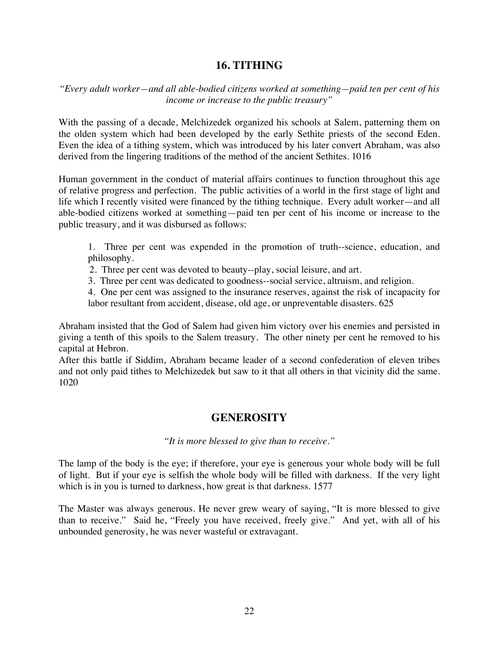#### **16. TITHING**

*"Every adult worker—and all able-bodied citizens worked at something—paid ten per cent of his income or increase to the public treasury"*

With the passing of a decade, Melchizedek organized his schools at Salem, patterning them on the olden system which had been developed by the early Sethite priests of the second Eden. Even the idea of a tithing system, which was introduced by his later convert Abraham, was also derived from the lingering traditions of the method of the ancient Sethites. 1016

Human government in the conduct of material affairs continues to function throughout this age of relative progress and perfection. The public activities of a world in the first stage of light and life which I recently visited were financed by the tithing technique. Every adult worker—and all able-bodied citizens worked at something—paid ten per cent of his income or increase to the public treasury, and it was disbursed as follows:

1. Three per cent was expended in the promotion of truth--science, education, and philosophy.

- 2. Three per cent was devoted to beauty--play, social leisure, and art.
- 3. Three per cent was dedicated to goodness--social service, altruism, and religion.

4. One per cent was assigned to the insurance reserves, against the risk of incapacity for labor resultant from accident, disease, old age, or unpreventable disasters. 625

Abraham insisted that the God of Salem had given him victory over his enemies and persisted in giving a tenth of this spoils to the Salem treasury. The other ninety per cent he removed to his capital at Hebron.

After this battle if Siddim, Abraham became leader of a second confederation of eleven tribes and not only paid tithes to Melchizedek but saw to it that all others in that vicinity did the same. 1020

#### **GENEROSITY**

*"It is more blessed to give than to receive."*

The lamp of the body is the eye; if therefore, your eye is generous your whole body will be full of light. But if your eye is selfish the whole body will be filled with darkness. If the very light which is in you is turned to darkness, how great is that darkness. 1577

The Master was always generous. He never grew weary of saying, "It is more blessed to give than to receive." Said he, "Freely you have received, freely give." And yet, with all of his unbounded generosity, he was never wasteful or extravagant.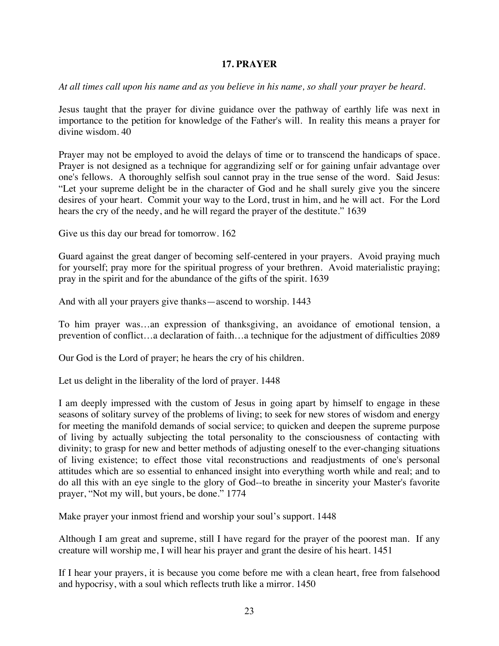#### **17. PRAYER**

*At all times call upon his name and as you believe in his name, so shall your prayer be heard.* 

Jesus taught that the prayer for divine guidance over the pathway of earthly life was next in importance to the petition for knowledge of the Father's will. In reality this means a prayer for divine wisdom. 40

Prayer may not be employed to avoid the delays of time or to transcend the handicaps of space. Prayer is not designed as a technique for aggrandizing self or for gaining unfair advantage over one's fellows. A thoroughly selfish soul cannot pray in the true sense of the word. Said Jesus: "Let your supreme delight be in the character of God and he shall surely give you the sincere desires of your heart. Commit your way to the Lord, trust in him, and he will act. For the Lord hears the cry of the needy, and he will regard the prayer of the destitute." 1639

Give us this day our bread for tomorrow. 162

Guard against the great danger of becoming self-centered in your prayers. Avoid praying much for yourself; pray more for the spiritual progress of your brethren. Avoid materialistic praying; pray in the spirit and for the abundance of the gifts of the spirit. 1639

And with all your prayers give thanks—ascend to worship. 1443

To him prayer was…an expression of thanksgiving, an avoidance of emotional tension, a prevention of conflict…a declaration of faith…a technique for the adjustment of difficulties 2089

Our God is the Lord of prayer; he hears the cry of his children.

Let us delight in the liberality of the lord of prayer. 1448

I am deeply impressed with the custom of Jesus in going apart by himself to engage in these seasons of solitary survey of the problems of living; to seek for new stores of wisdom and energy for meeting the manifold demands of social service; to quicken and deepen the supreme purpose of living by actually subjecting the total personality to the consciousness of contacting with divinity; to grasp for new and better methods of adjusting oneself to the ever-changing situations of living existence; to effect those vital reconstructions and readjustments of one's personal attitudes which are so essential to enhanced insight into everything worth while and real; and to do all this with an eye single to the glory of God--to breathe in sincerity your Master's favorite prayer, "Not my will, but yours, be done." 1774

Make prayer your inmost friend and worship your soul's support. 1448

Although I am great and supreme, still I have regard for the prayer of the poorest man. If any creature will worship me, I will hear his prayer and grant the desire of his heart. 1451

If I hear your prayers, it is because you come before me with a clean heart, free from falsehood and hypocrisy, with a soul which reflects truth like a mirror. 1450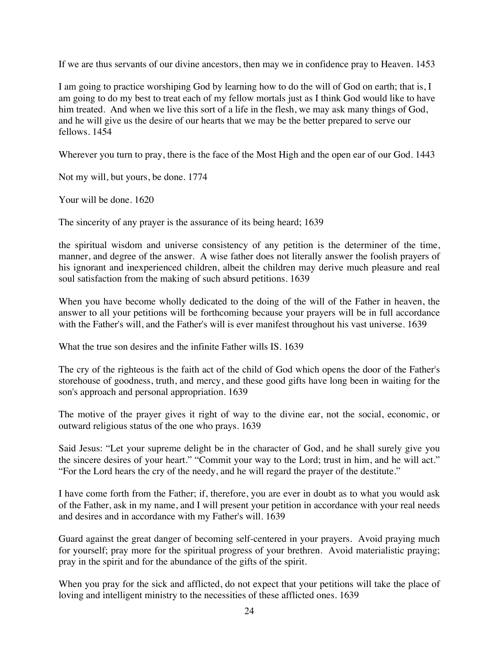If we are thus servants of our divine ancestors, then may we in confidence pray to Heaven. 1453

I am going to practice worshiping God by learning how to do the will of God on earth; that is, I am going to do my best to treat each of my fellow mortals just as I think God would like to have him treated. And when we live this sort of a life in the flesh, we may ask many things of God, and he will give us the desire of our hearts that we may be the better prepared to serve our fellows. 1454

Wherever you turn to pray, there is the face of the Most High and the open ear of our God. 1443

Not my will, but yours, be done. 1774

Your will be done. 1620

The sincerity of any prayer is the assurance of its being heard; 1639

the spiritual wisdom and universe consistency of any petition is the determiner of the time, manner, and degree of the answer. A wise father does not literally answer the foolish prayers of his ignorant and inexperienced children, albeit the children may derive much pleasure and real soul satisfaction from the making of such absurd petitions. 1639

When you have become wholly dedicated to the doing of the will of the Father in heaven, the answer to all your petitions will be forthcoming because your prayers will be in full accordance with the Father's will, and the Father's will is ever manifest throughout his vast universe. 1639

What the true son desires and the infinite Father wills IS. 1639

The cry of the righteous is the faith act of the child of God which opens the door of the Father's storehouse of goodness, truth, and mercy, and these good gifts have long been in waiting for the son's approach and personal appropriation. 1639

The motive of the prayer gives it right of way to the divine ear, not the social, economic, or outward religious status of the one who prays. 1639

Said Jesus: "Let your supreme delight be in the character of God, and he shall surely give you the sincere desires of your heart." "Commit your way to the Lord; trust in him, and he will act." "For the Lord hears the cry of the needy, and he will regard the prayer of the destitute."

I have come forth from the Father; if, therefore, you are ever in doubt as to what you would ask of the Father, ask in my name, and I will present your petition in accordance with your real needs and desires and in accordance with my Father's will. 1639

Guard against the great danger of becoming self-centered in your prayers. Avoid praying much for yourself; pray more for the spiritual progress of your brethren. Avoid materialistic praying; pray in the spirit and for the abundance of the gifts of the spirit.

When you pray for the sick and afflicted, do not expect that your petitions will take the place of loving and intelligent ministry to the necessities of these afflicted ones. 1639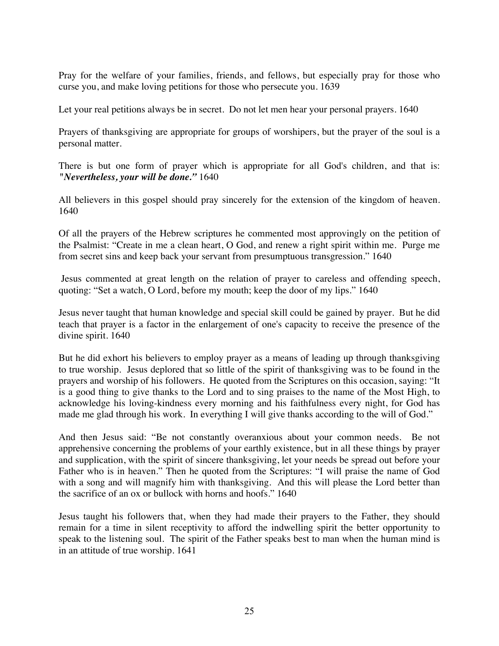Pray for the welfare of your families, friends, and fellows, but especially pray for those who curse you, and make loving petitions for those who persecute you. 1639

Let your real petitions always be in secret. Do not let men hear your personal prayers. 1640

Prayers of thanksgiving are appropriate for groups of worshipers, but the prayer of the soul is a personal matter.

There is but one form of prayer which is appropriate for all God's children, and that is: *"Nevertheless, your will be done."* 1640

All believers in this gospel should pray sincerely for the extension of the kingdom of heaven. 1640

Of all the prayers of the Hebrew scriptures he commented most approvingly on the petition of the Psalmist: "Create in me a clean heart, O God, and renew a right spirit within me. Purge me from secret sins and keep back your servant from presumptuous transgression." 1640

Jesus commented at great length on the relation of prayer to careless and offending speech, quoting: "Set a watch, O Lord, before my mouth; keep the door of my lips." 1640

Jesus never taught that human knowledge and special skill could be gained by prayer. But he did teach that prayer is a factor in the enlargement of one's capacity to receive the presence of the divine spirit. 1640

But he did exhort his believers to employ prayer as a means of leading up through thanksgiving to true worship. Jesus deplored that so little of the spirit of thanksgiving was to be found in the prayers and worship of his followers. He quoted from the Scriptures on this occasion, saying: "It is a good thing to give thanks to the Lord and to sing praises to the name of the Most High, to acknowledge his loving-kindness every morning and his faithfulness every night, for God has made me glad through his work. In everything I will give thanks according to the will of God."

And then Jesus said: "Be not constantly overanxious about your common needs. Be not apprehensive concerning the problems of your earthly existence, but in all these things by prayer and supplication, with the spirit of sincere thanksgiving, let your needs be spread out before your Father who is in heaven." Then he quoted from the Scriptures: "I will praise the name of God with a song and will magnify him with thanksgiving. And this will please the Lord better than the sacrifice of an ox or bullock with horns and hoofs." 1640

Jesus taught his followers that, when they had made their prayers to the Father, they should remain for a time in silent receptivity to afford the indwelling spirit the better opportunity to speak to the listening soul. The spirit of the Father speaks best to man when the human mind is in an attitude of true worship. 1641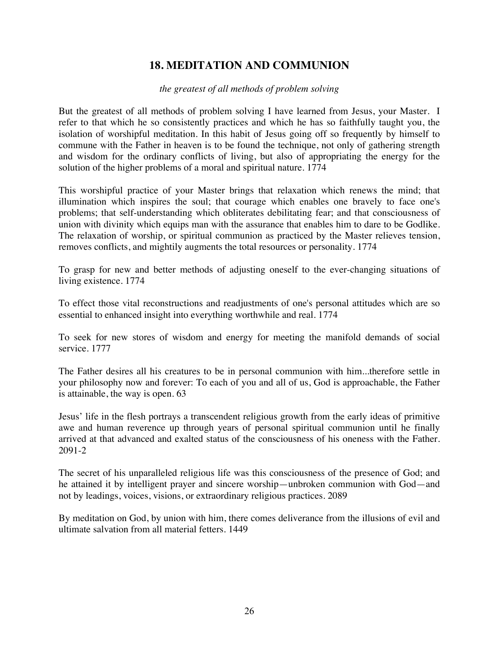## **18. MEDITATION AND COMMUNION**

*the greatest of all methods of problem solving*

But the greatest of all methods of problem solving I have learned from Jesus, your Master. I refer to that which he so consistently practices and which he has so faithfully taught you, the isolation of worshipful meditation. In this habit of Jesus going off so frequently by himself to commune with the Father in heaven is to be found the technique, not only of gathering strength and wisdom for the ordinary conflicts of living, but also of appropriating the energy for the solution of the higher problems of a moral and spiritual nature. 1774

This worshipful practice of your Master brings that relaxation which renews the mind; that illumination which inspires the soul; that courage which enables one bravely to face one's problems; that self-understanding which obliterates debilitating fear; and that consciousness of union with divinity which equips man with the assurance that enables him to dare to be Godlike. The relaxation of worship, or spiritual communion as practiced by the Master relieves tension, removes conflicts, and mightily augments the total resources or personality. 1774

To grasp for new and better methods of adjusting oneself to the ever-changing situations of living existence. 1774

To effect those vital reconstructions and readjustments of one's personal attitudes which are so essential to enhanced insight into everything worthwhile and real. 1774

To seek for new stores of wisdom and energy for meeting the manifold demands of social service. 1777

The Father desires all his creatures to be in personal communion with him...therefore settle in your philosophy now and forever: To each of you and all of us, God is approachable, the Father is attainable, the way is open. 63

Jesus' life in the flesh portrays a transcendent religious growth from the early ideas of primitive awe and human reverence up through years of personal spiritual communion until he finally arrived at that advanced and exalted status of the consciousness of his oneness with the Father. 2091-2

The secret of his unparalleled religious life was this consciousness of the presence of God; and he attained it by intelligent prayer and sincere worship—unbroken communion with God—and not by leadings, voices, visions, or extraordinary religious practices. 2089

By meditation on God, by union with him, there comes deliverance from the illusions of evil and ultimate salvation from all material fetters. 1449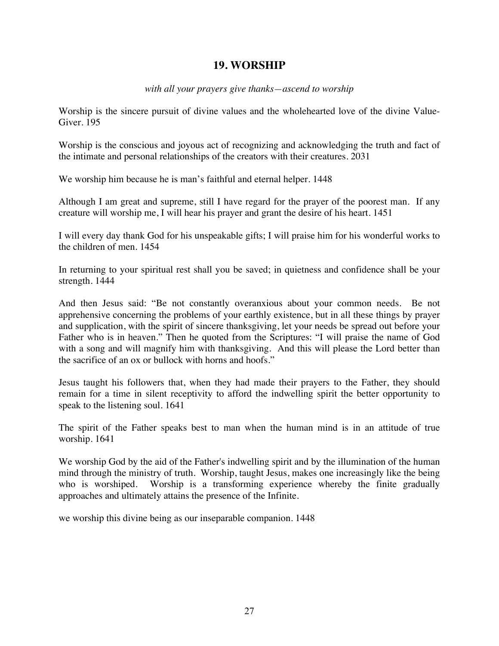#### **19. WORSHIP**

#### *with all your prayers give thanks—ascend to worship*

Worship is the sincere pursuit of divine values and the wholehearted love of the divine Value-Giver. 195

Worship is the conscious and joyous act of recognizing and acknowledging the truth and fact of the intimate and personal relationships of the creators with their creatures. 2031

We worship him because he is man's faithful and eternal helper. 1448

Although I am great and supreme, still I have regard for the prayer of the poorest man. If any creature will worship me, I will hear his prayer and grant the desire of his heart. 1451

I will every day thank God for his unspeakable gifts; I will praise him for his wonderful works to the children of men. 1454

In returning to your spiritual rest shall you be saved; in quietness and confidence shall be your strength. 1444

And then Jesus said: "Be not constantly overanxious about your common needs. Be not apprehensive concerning the problems of your earthly existence, but in all these things by prayer and supplication, with the spirit of sincere thanksgiving, let your needs be spread out before your Father who is in heaven." Then he quoted from the Scriptures: "I will praise the name of God with a song and will magnify him with thanksgiving. And this will please the Lord better than the sacrifice of an ox or bullock with horns and hoofs."

Jesus taught his followers that, when they had made their prayers to the Father, they should remain for a time in silent receptivity to afford the indwelling spirit the better opportunity to speak to the listening soul. 1641

The spirit of the Father speaks best to man when the human mind is in an attitude of true worship. 1641

We worship God by the aid of the Father's indwelling spirit and by the illumination of the human mind through the ministry of truth. Worship, taught Jesus, makes one increasingly like the being who is worshiped. Worship is a transforming experience whereby the finite gradually approaches and ultimately attains the presence of the Infinite.

we worship this divine being as our inseparable companion. 1448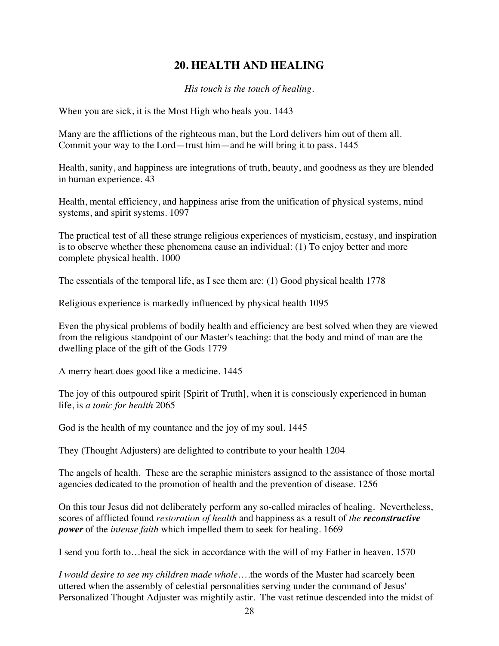## **20. HEALTH AND HEALING**

*His touch is the touch of healing*.

When you are sick, it is the Most High who heals you. 1443

Many are the afflictions of the righteous man, but the Lord delivers him out of them all. Commit your way to the Lord—trust him—and he will bring it to pass. 1445

Health, sanity, and happiness are integrations of truth, beauty, and goodness as they are blended in human experience. 43

Health, mental efficiency, and happiness arise from the unification of physical systems, mind systems, and spirit systems. 1097

The practical test of all these strange religious experiences of mysticism, ecstasy, and inspiration is to observe whether these phenomena cause an individual: (1) To enjoy better and more complete physical health. 1000

The essentials of the temporal life, as I see them are: (1) Good physical health 1778

Religious experience is markedly influenced by physical health 1095

Even the physical problems of bodily health and efficiency are best solved when they are viewed from the religious standpoint of our Master's teaching: that the body and mind of man are the dwelling place of the gift of the Gods 1779

A merry heart does good like a medicine. 1445

The joy of this outpoured spirit [Spirit of Truth], when it is consciously experienced in human life, is *a tonic for health* 2065

God is the health of my countance and the joy of my soul. 1445

They (Thought Adjusters) are delighted to contribute to your health 1204

The angels of health. These are the seraphic ministers assigned to the assistance of those mortal agencies dedicated to the promotion of health and the prevention of disease. 1256

On this tour Jesus did not deliberately perform any so-called miracles of healing. Nevertheless, scores of afflicted found *restoration of health* and happiness as a result of *the reconstructive power* of the *intense faith* which impelled them to seek for healing. 1669

I send you forth to…heal the sick in accordance with the will of my Father in heaven. 1570

*I would desire to see my children made whole*….the words of the Master had scarcely been uttered when the assembly of celestial personalities serving under the command of Jesus' Personalized Thought Adjuster was mightily astir. The vast retinue descended into the midst of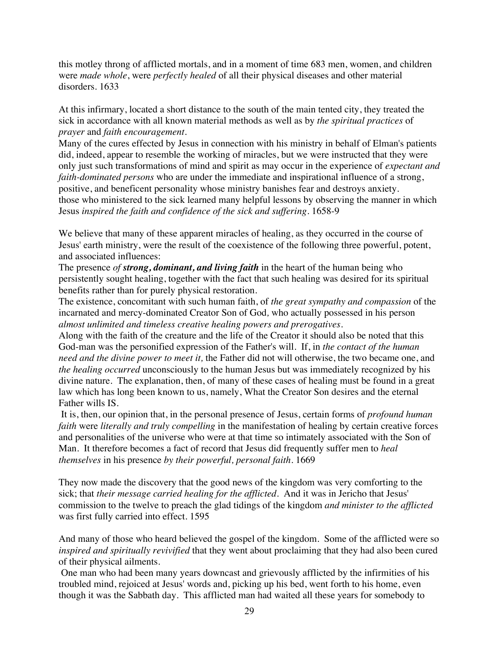this motley throng of afflicted mortals, and in a moment of time 683 men, women, and children were *made whole*, were *perfectly healed* of all their physical diseases and other material disorders. 1633

At this infirmary, located a short distance to the south of the main tented city, they treated the sick in accordance with all known material methods as well as by *the spiritual practices* of *prayer* and *faith encouragement*.

Many of the cures effected by Jesus in connection with his ministry in behalf of Elman's patients did, indeed, appear to resemble the working of miracles, but we were instructed that they were only just such transformations of mind and spirit as may occur in the experience of *expectant and faith-dominated persons* who are under the immediate and inspirational influence of a strong, positive, and beneficent personality whose ministry banishes fear and destroys anxiety. those who ministered to the sick learned many helpful lessons by observing the manner in which Jesus *inspired the faith and confidence of the sick and suffering.* 1658-9

We believe that many of these apparent miracles of healing, as they occurred in the course of Jesus' earth ministry, were the result of the coexistence of the following three powerful, potent, and associated influences:

The presence *of strong, dominant, and living faith* in the heart of the human being who persistently sought healing, together with the fact that such healing was desired for its spiritual benefits rather than for purely physical restoration.

The existence, concomitant with such human faith, of *the great sympathy and compassion* of the incarnated and mercy-dominated Creator Son of God*,* who actually possessed in his person *almost unlimited and timeless creative healing powers and prerogatives*.

Along with the faith of the creature and the life of the Creator it should also be noted that this God-man was the personified expression of the Father's will. If, in *the contact of the human need and the divine power to meet it,* the Father did not will otherwise, the two became one, and *the healing occurred* unconsciously to the human Jesus but was immediately recognized by his divine nature. The explanation, then, of many of these cases of healing must be found in a great law which has long been known to us, namely, What the Creator Son desires and the eternal Father wills IS.

It is, then, our opinion that, in the personal presence of Jesus, certain forms of *profound human faith* were *literally and truly compelling* in the manifestation of healing by certain creative forces and personalities of the universe who were at that time so intimately associated with the Son of Man. It therefore becomes a fact of record that Jesus did frequently suffer men to *heal themselves* in his presence *by their powerful, personal faith*. 1669

They now made the discovery that the good news of the kingdom was very comforting to the sick; that *their message carried healing for the afflicted*. And it was in Jericho that Jesus' commission to the twelve to preach the glad tidings of the kingdom *and minister to the afflicted* was first fully carried into effect. 1595

And many of those who heard believed the gospel of the kingdom. Some of the afflicted were so *inspired and spiritually revivified* that they went about proclaiming that they had also been cured of their physical ailments.

One man who had been many years downcast and grievously afflicted by the infirmities of his troubled mind, rejoiced at Jesus' words and, picking up his bed, went forth to his home, even though it was the Sabbath day. This afflicted man had waited all these years for somebody to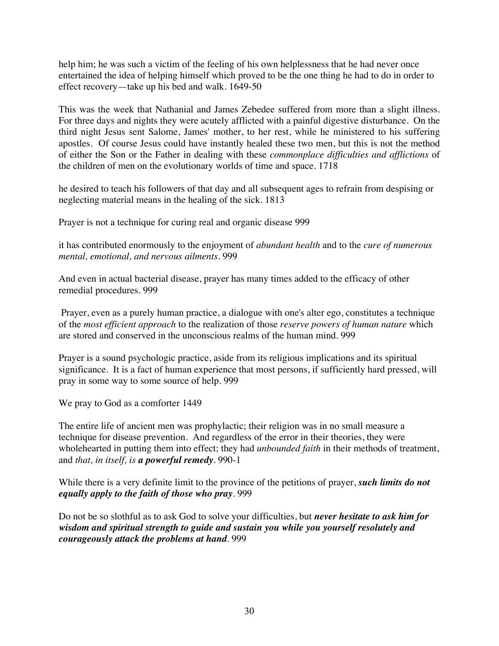help him; he was such a victim of the feeling of his own helplessness that he had never once entertained the idea of helping himself which proved to be the one thing he had to do in order to effect recovery—take up his bed and walk. 1649-50

This was the week that Nathanial and James Zebedee suffered from more than a slight illness. For three days and nights they were acutely afflicted with a painful digestive disturbance. On the third night Jesus sent Salome, James' mother, to her rest, while he ministered to his suffering apostles. Of course Jesus could have instantly healed these two men, but this is not the method of either the Son or the Father in dealing with these *commonplace difficulties and afflictions* of the children of men on the evolutionary worlds of time and space. 1718

he desired to teach his followers of that day and all subsequent ages to refrain from despising or neglecting material means in the healing of the sick. 1813

Prayer is not a technique for curing real and organic disease 999

it has contributed enormously to the enjoyment of *abundant health* and to the *cure of numerous mental, emotional, and nervous ailments*. 999

And even in actual bacterial disease, prayer has many times added to the efficacy of other remedial procedures. 999

Prayer, even as a purely human practice, a dialogue with one's alter ego, constitutes a technique of the *most efficient approach* to the realization of those *reserve powers of human nature* which are stored and conserved in the unconscious realms of the human mind. 999

Prayer is a sound psychologic practice, aside from its religious implications and its spiritual significance. It is a fact of human experience that most persons, if sufficiently hard pressed, will pray in some way to some source of help. 999

We pray to God as a comforter 1449

The entire life of ancient men was prophylactic; their religion was in no small measure a technique for disease prevention. And regardless of the error in their theories, they were wholehearted in putting them into effect; they had *unbounded faith* in their methods of treatment, and *that, in itself, is a powerful remedy*. 990-1

While there is a very definite limit to the province of the petitions of prayer, *such limits do not equally apply to the faith of those who pray*. 999

Do not be so slothful as to ask God to solve your difficulties, but *never hesitate to ask him for wisdom and spiritual strength to guide and sustain you while you yourself resolutely and courageously attack the problems at hand.* 999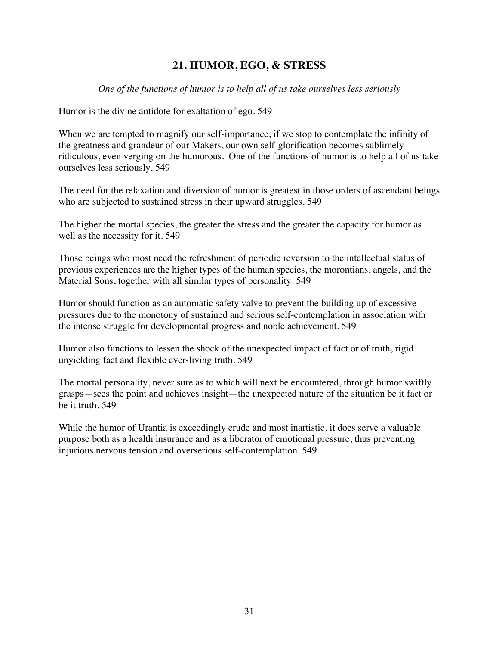## **21. HUMOR, EGO, & STRESS**

*One of the functions of humor is to help all of us take ourselves less seriously*

Humor is the divine antidote for exaltation of ego. 549

When we are tempted to magnify our self-importance, if we stop to contemplate the infinity of the greatness and grandeur of our Makers, our own self-glorification becomes sublimely ridiculous, even verging on the humorous. One of the functions of humor is to help all of us take ourselves less seriously. 549

The need for the relaxation and diversion of humor is greatest in those orders of ascendant beings who are subjected to sustained stress in their upward struggles. 549

The higher the mortal species, the greater the stress and the greater the capacity for humor as well as the necessity for it. 549

Those beings who most need the refreshment of periodic reversion to the intellectual status of previous experiences are the higher types of the human species, the morontians, angels, and the Material Sons, together with all similar types of personality. 549

Humor should function as an automatic safety valve to prevent the building up of excessive pressures due to the monotony of sustained and serious self-contemplation in association with the intense struggle for developmental progress and noble achievement. 549

Humor also functions to lessen the shock of the unexpected impact of fact or of truth, rigid unyielding fact and flexible ever-living truth. 549

The mortal personality, never sure as to which will next be encountered, through humor swiftly grasps—sees the point and achieves insight—the unexpected nature of the situation be it fact or be it truth. 549

While the humor of Urantia is exceedingly crude and most inartistic, it does serve a valuable purpose both as a health insurance and as a liberator of emotional pressure, thus preventing injurious nervous tension and overserious self-contemplation. 549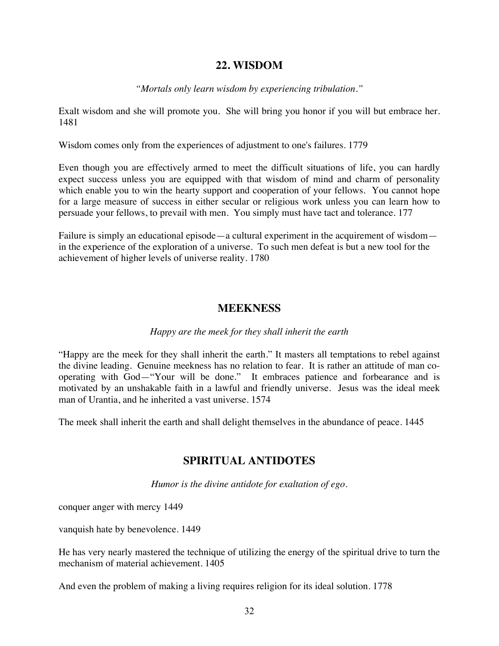#### **22. WISDOM**

*"Mortals only learn wisdom by experiencing tribulation."*

Exalt wisdom and she will promote you. She will bring you honor if you will but embrace her. 1481

Wisdom comes only from the experiences of adjustment to one's failures. 1779

Even though you are effectively armed to meet the difficult situations of life, you can hardly expect success unless you are equipped with that wisdom of mind and charm of personality which enable you to win the hearty support and cooperation of your fellows. You cannot hope for a large measure of success in either secular or religious work unless you can learn how to persuade your fellows, to prevail with men. You simply must have tact and tolerance. 177

Failure is simply an educational episode—a cultural experiment in the acquirement of wisdom in the experience of the exploration of a universe. To such men defeat is but a new tool for the achievement of higher levels of universe reality. 1780

#### **MEEKNESS**

#### *Happy are the meek for they shall inherit the earth*

"Happy are the meek for they shall inherit the earth." It masters all temptations to rebel against the divine leading. Genuine meekness has no relation to fear. It is rather an attitude of man cooperating with God—"Your will be done." It embraces patience and forbearance and is motivated by an unshakable faith in a lawful and friendly universe. Jesus was the ideal meek man of Urantia, and he inherited a vast universe. 1574

The meek shall inherit the earth and shall delight themselves in the abundance of peace. 1445

#### **SPIRITUAL ANTIDOTES**

*Humor is the divine antidote for exaltation of ego.*

conquer anger with mercy 1449

vanquish hate by benevolence. 1449

He has very nearly mastered the technique of utilizing the energy of the spiritual drive to turn the mechanism of material achievement. 1405

And even the problem of making a living requires religion for its ideal solution. 1778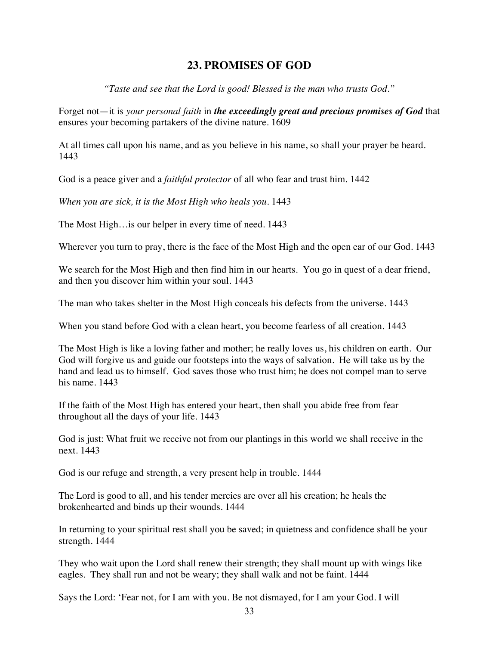#### **23. PROMISES OF GOD**

*"Taste and see that the Lord is good! Blessed is the man who trusts God."*

Forget not—it is *your personal faith* in *the exceedingly great and precious promises of God* that ensures your becoming partakers of the divine nature. 1609

At all times call upon his name, and as you believe in his name, so shall your prayer be heard. 1443

God is a peace giver and a *faithful protector* of all who fear and trust him. 1442

*When you are sick, it is the Most High who heals you*. 1443

The Most High…is our helper in every time of need. 1443

Wherever you turn to pray, there is the face of the Most High and the open ear of our God. 1443

We search for the Most High and then find him in our hearts. You go in quest of a dear friend, and then you discover him within your soul. 1443

The man who takes shelter in the Most High conceals his defects from the universe. 1443

When you stand before God with a clean heart, you become fearless of all creation. 1443

The Most High is like a loving father and mother; he really loves us, his children on earth. Our God will forgive us and guide our footsteps into the ways of salvation. He will take us by the hand and lead us to himself. God saves those who trust him; he does not compel man to serve his name. 1443

If the faith of the Most High has entered your heart, then shall you abide free from fear throughout all the days of your life. 1443

God is just: What fruit we receive not from our plantings in this world we shall receive in the next. 1443

God is our refuge and strength, a very present help in trouble. 1444

The Lord is good to all, and his tender mercies are over all his creation; he heals the brokenhearted and binds up their wounds. 1444

In returning to your spiritual rest shall you be saved; in quietness and confidence shall be your strength. 1444

They who wait upon the Lord shall renew their strength; they shall mount up with wings like eagles. They shall run and not be weary; they shall walk and not be faint. 1444

Says the Lord: 'Fear not, for I am with you. Be not dismayed, for I am your God. I will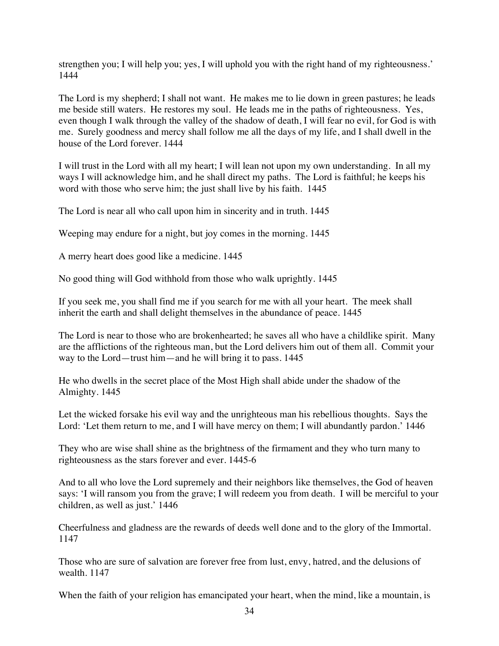strengthen you; I will help you; yes, I will uphold you with the right hand of my righteousness.' 1444

The Lord is my shepherd; I shall not want. He makes me to lie down in green pastures; he leads me beside still waters. He restores my soul. He leads me in the paths of righteousness. Yes, even though I walk through the valley of the shadow of death, I will fear no evil, for God is with me. Surely goodness and mercy shall follow me all the days of my life, and I shall dwell in the house of the Lord forever. 1444

I will trust in the Lord with all my heart; I will lean not upon my own understanding. In all my ways I will acknowledge him, and he shall direct my paths. The Lord is faithful; he keeps his word with those who serve him; the just shall live by his faith. 1445

The Lord is near all who call upon him in sincerity and in truth. 1445

Weeping may endure for a night, but joy comes in the morning. 1445

A merry heart does good like a medicine. 1445

No good thing will God withhold from those who walk uprightly. 1445

If you seek me, you shall find me if you search for me with all your heart. The meek shall inherit the earth and shall delight themselves in the abundance of peace. 1445

The Lord is near to those who are brokenhearted; he saves all who have a childlike spirit. Many are the afflictions of the righteous man, but the Lord delivers him out of them all. Commit your way to the Lord—trust him—and he will bring it to pass. 1445

He who dwells in the secret place of the Most High shall abide under the shadow of the Almighty. 1445

Let the wicked forsake his evil way and the unrighteous man his rebellious thoughts. Says the Lord: 'Let them return to me, and I will have mercy on them; I will abundantly pardon.' 1446

They who are wise shall shine as the brightness of the firmament and they who turn many to righteousness as the stars forever and ever. 1445-6

And to all who love the Lord supremely and their neighbors like themselves, the God of heaven says: 'I will ransom you from the grave; I will redeem you from death. I will be merciful to your children, as well as just.' 1446

Cheerfulness and gladness are the rewards of deeds well done and to the glory of the Immortal. 1147

Those who are sure of salvation are forever free from lust, envy, hatred, and the delusions of wealth. 1147

When the faith of your religion has emancipated your heart, when the mind, like a mountain, is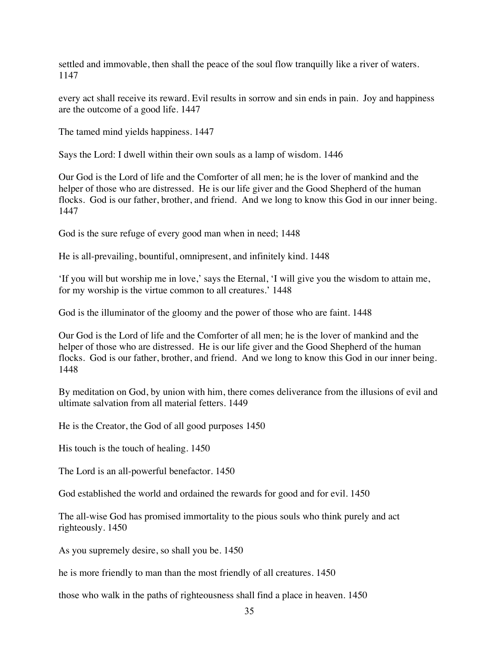settled and immovable, then shall the peace of the soul flow tranquilly like a river of waters. 1147

every act shall receive its reward. Evil results in sorrow and sin ends in pain. Joy and happiness are the outcome of a good life. 1447

The tamed mind yields happiness. 1447

Says the Lord: I dwell within their own souls as a lamp of wisdom. 1446

Our God is the Lord of life and the Comforter of all men; he is the lover of mankind and the helper of those who are distressed. He is our life giver and the Good Shepherd of the human flocks. God is our father, brother, and friend. And we long to know this God in our inner being. 1447

God is the sure refuge of every good man when in need; 1448

He is all-prevailing, bountiful, omnipresent, and infinitely kind. 1448

'If you will but worship me in love,' says the Eternal, 'I will give you the wisdom to attain me, for my worship is the virtue common to all creatures.' 1448

God is the illuminator of the gloomy and the power of those who are faint. 1448

Our God is the Lord of life and the Comforter of all men; he is the lover of mankind and the helper of those who are distressed. He is our life giver and the Good Shepherd of the human flocks. God is our father, brother, and friend. And we long to know this God in our inner being. 1448

By meditation on God, by union with him, there comes deliverance from the illusions of evil and ultimate salvation from all material fetters. 1449

He is the Creator, the God of all good purposes 1450

His touch is the touch of healing. 1450

The Lord is an all-powerful benefactor. 1450

God established the world and ordained the rewards for good and for evil. 1450

The all-wise God has promised immortality to the pious souls who think purely and act righteously. 1450

As you supremely desire, so shall you be. 1450

he is more friendly to man than the most friendly of all creatures. 1450

those who walk in the paths of righteousness shall find a place in heaven. 1450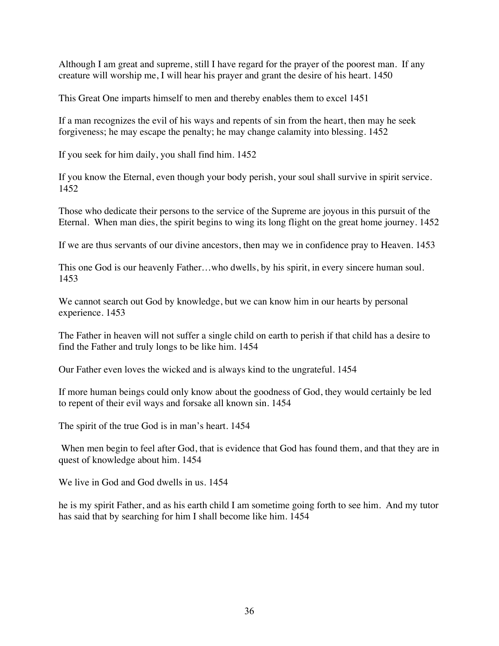Although I am great and supreme, still I have regard for the prayer of the poorest man. If any creature will worship me, I will hear his prayer and grant the desire of his heart. 1450

This Great One imparts himself to men and thereby enables them to excel 1451

If a man recognizes the evil of his ways and repents of sin from the heart, then may he seek forgiveness; he may escape the penalty; he may change calamity into blessing. 1452

If you seek for him daily, you shall find him. 1452

If you know the Eternal, even though your body perish, your soul shall survive in spirit service. 1452

Those who dedicate their persons to the service of the Supreme are joyous in this pursuit of the Eternal. When man dies, the spirit begins to wing its long flight on the great home journey. 1452

If we are thus servants of our divine ancestors, then may we in confidence pray to Heaven. 1453

This one God is our heavenly Father…who dwells, by his spirit, in every sincere human soul. 1453

We cannot search out God by knowledge, but we can know him in our hearts by personal experience. 1453

The Father in heaven will not suffer a single child on earth to perish if that child has a desire to find the Father and truly longs to be like him. 1454

Our Father even loves the wicked and is always kind to the ungrateful. 1454

If more human beings could only know about the goodness of God, they would certainly be led to repent of their evil ways and forsake all known sin. 1454

The spirit of the true God is in man's heart. 1454

When men begin to feel after God, that is evidence that God has found them, and that they are in quest of knowledge about him. 1454

We live in God and God dwells in us. 1454

he is my spirit Father, and as his earth child I am sometime going forth to see him. And my tutor has said that by searching for him I shall become like him. 1454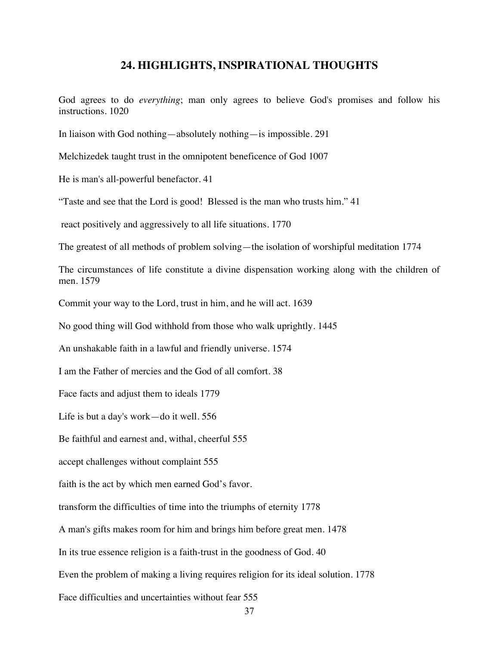#### **24. HIGHLIGHTS, INSPIRATIONAL THOUGHTS**

God agrees to do *everything*; man only agrees to believe God's promises and follow his instructions. 1020

In liaison with God nothing—absolutely nothing—is impossible. 291

Melchizedek taught trust in the omnipotent beneficence of God 1007

He is man's all-powerful benefactor. 41

"Taste and see that the Lord is good! Blessed is the man who trusts him." 41

react positively and aggressively to all life situations. 1770

The greatest of all methods of problem solving—the isolation of worshipful meditation 1774

The circumstances of life constitute a divine dispensation working along with the children of men. 1579

Commit your way to the Lord, trust in him, and he will act. 1639

No good thing will God withhold from those who walk uprightly. 1445

An unshakable faith in a lawful and friendly universe. 1574

I am the Father of mercies and the God of all comfort. 38

Face facts and adjust them to ideals 1779

Life is but a day's work—do it well. 556

Be faithful and earnest and, withal, cheerful 555

accept challenges without complaint 555

faith is the act by which men earned God's favor.

transform the difficulties of time into the triumphs of eternity 1778

A man's gifts makes room for him and brings him before great men. 1478

In its true essence religion is a faith-trust in the goodness of God. 40

Even the problem of making a living requires religion for its ideal solution. 1778

Face difficulties and uncertainties without fear 555